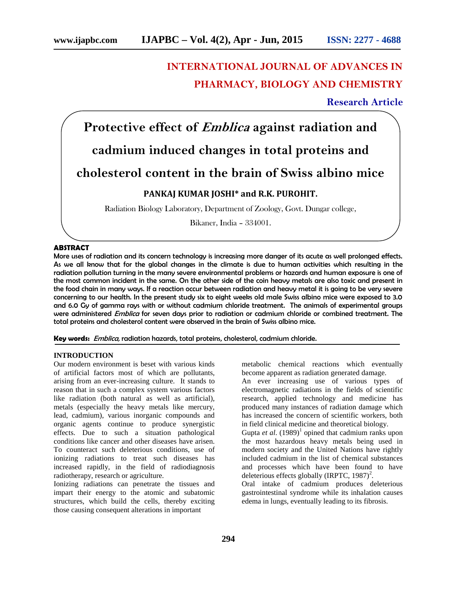# **INTERNATIONAL JOURNAL OF ADVANCES IN PHARMACY, BIOLOGY AND CHEMISTRY**

# **Research Article**

**Protective effect of** *Emblica* **against radiation and cadmium induced changes in total proteins and cholesterol content in the brain of Swiss albino mice**

# **PANKAJ KUMAR JOSHI\* and R.K. PUROHIT.**

Radiation Biology Laboratory, Department of Zoology, Govt. Dungar college,

Bikaner, India – 334001.

# **ABSTRACT**

More uses of radiation and its concern technology is increasing more danger of its acute as well prolonged effects. As we all know that for the global changes in the climate is due to human activities which resulting in the radiation pollution turning in the many severe environmental problems or hazards and human exposure is one of the most common incident in the same. On the other side of the coin heavy metals are also toxic and present in the food chain in many ways. If a reaction occur between radiation and heavy metal it is going to be very severe concerning to our health. In the present study six to eight weeks old male Swiss albino mice were exposed to 3.0 and 6.0 Gy of gamma rays with or without cadmium chloride treatment. The animals of experimental groups were administered *Emblica* for seven days prior to radiation or cadmium chloride or combined treatment. The total proteins and cholesterol content were observed in the brain of Swiss albino mice.

**Key words:** *Emblica,* radiation hazards, total proteins, cholesterol, cadmium chloride.

# **INTRODUCTION**

Our modern environment is beset with various kinds of artificial factors most of which are pollutants, arising from an ever-increasing culture. It stands to reason that in such a complex system various factors like radiation (both natural as well as artificial), metals (especially the heavy metals like mercury, lead, cadmium), various inorganic compounds and organic agents continue to produce synergistic effects. Due to such a situation pathological conditions like cancer and other diseases have arisen. To counteract such deleterious conditions, use of ionizing radiations to treat such diseases has increased rapidly, in the field of radiodiagnosis radiotherapy, research or agriculture.

Ionizing radiations can penetrate the tissues and impart their energy to the atomic and subatomic structures, which build the cells, thereby exciting those causing consequent alterations in important

metabolic chemical reactions which eventually become apparent as radiation generated damage.

An ever increasing use of various types of electromagnetic radiations in the fields of scientific research, applied technology and medicine has produced many instances of radiation damage which has increased the concern of scientific workers, both in field clinical medicine and theoretical biology.

Gupta *et al.*  $(1989)^1$  opined that cadmium ranks upon the most hazardous heavy metals being used in modern society and the United Nations have rightly included cadmium in the list of chemical substances and processes which have been found to have deleterious effects globally (IRPTC,  $1987$ )<sup>2</sup>. .

Oral intake of cadmium produces deleterious gastrointestinal syndrome while its inhalation causes edema in lungs, eventually leading to its fibrosis.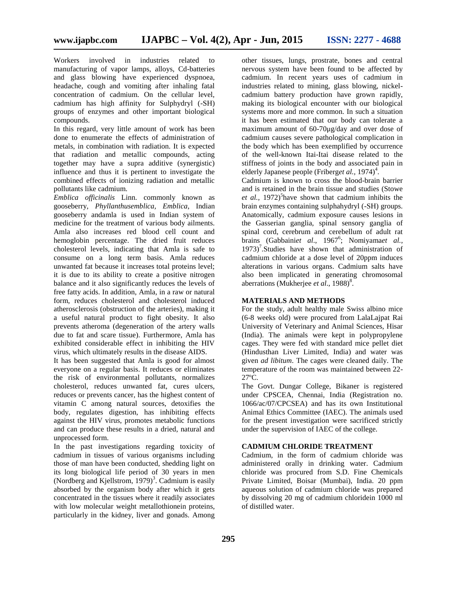Workers involved in industries related to manufacturing of vapor lamps, alloys, Cd-batteries and glass blowing have experienced dyspnoea, headache, cough and vomiting after inhaling fatal concentration of cadmium. On the cellular level, cadmium has high affinity for Sulphydryl (-SH) groups of enzymes and other important biological compounds.

In this regard, very little amount of work has been done to enumerate the effects of administration of metals, in combination with radiation. It is expected that radiation and metallic compounds, acting together may have a supra additive (synergistic) influence and thus it is pertinent to investigate the combined effects of ionizing radiation and metallic pollutants like cadmium.

*Emblica officinalis* Linn. commonly known as gooseberry, *Phyllanthusemblica, Emblica*, Indian gooseberry andamla is used in Indian system of medicine for the treatment of various body ailments. Amla also increases red blood cell count and hemoglobin percentage. The dried fruit reduces cholesterol levels, indicating that Amla is safe to consume on a long term basis. Amla reduces unwanted fat because it increases total proteins level; it is due to its ability to create a positive nitrogen balance and it also significantly reduces the levels of free fatty acids. In addition, Amla, in a raw or natural form, reduces cholesterol and cholesterol induced atherosclerosis (obstruction of the arteries), making it a useful natural product to fight obesity. It also prevents atheroma (degeneration of the artery walls due to fat and scare tissue). Furthermore, Amla has exhibited considerable effect in inhibiting the HIV virus, which ultimately results in the disease AIDS.

It has been suggested that Amla is good for almost everyone on a regular basis. It reduces or eliminates the risk of environmental pollutants, normalizes cholesterol, reduces unwanted fat, cures ulcers, reduces or prevents cancer, has the highest content of vitamin C among natural sources, detoxifies the body, regulates digestion, has inhibiting effects against the HIV virus, promotes metabolic functions and can produce these results in a dried, natural and unprocessed form.

In the past investigations regarding toxicity of cadmium in tissues of various organisms including those of man have been conducted, shedding light on its long biological life period of 30 years in men (Nordberg and Kjellstrom, 1979)<sup>3</sup>. Cadmium is easily absorbed by the organism body after which it gets concentrated in the tissues where it readily associates with low molecular weight metallothionein proteins, particularly in the kidney, liver and gonads. Among

other tissues, lungs, prostrate, bones and central nervous system have been found to be affected by cadmium. In recent years uses of cadmium in industries related to mining, glass blowing, nickel cadmium battery production have grown rapidly, making its biological encounter with our biological systems more and more common. In such a situation it has been estimated that our body can tolerate a maximum amount of 60-70μg/day and over dose of cadmium causes severe pathological complication in the body which has been exemplified by occurrence of the well-known Itai-Itai disease related to the stiffness of joints in the body and associated pain in elderly Japanese people (Friberg*et al.*, 1974)<sup>4</sup>.

Cadmium is known to cross the blood-brain barrier and is retained in the brain tissue and studies (Stowe *et al.,* 1972)<sup>5</sup> have shown that cadmium inhibits the brain enzymes containing sulphahydryl (-SH) groups. Anatomically, cadmium exposure causes lesions in the Gasserian ganglia, spinal sensory ganglia of spinal cord, cerebrum and cerebellum of adult rat brains (Gabbaini*et al*., 1967<sup>6</sup> ; Nomiyama*et al.,*  $1973$ <sup>7</sup>. Studies have shown that administration of cadmium chloride at a dose level of 20ppm induces alterations in various organs. Cadmium salts have also been implicated in generating chromosomal aberrations (Mukherjee *et al.*, 1988)<sup>8</sup>.

# **MATERIALS AND METHODS**

For the study, adult healthy male Swiss albino mice (6-8 weeks old) were procured from LalaLajpat Rai University of Veterinary and Animal Sciences, Hisar (India). The animals were kept in polypropylene cages. They were fed with standard mice pellet diet (Hindusthan Liver Limited, India) and water was given *ad libitum*. The cages were cleaned daily. The temperature of the room was maintained between 22- 27ºC.

The Govt. Dungar College, Bikaner is registered under CPSCEA, Chennai, India (Registration no. 1066/ac/07/CPCSEA) and has its own Institutional Animal Ethics Committee (IAEC). The animals used for the present investigation were sacrificed strictly under the supervision of IAEC of the college.

#### **CADMIUM CHLORIDE TREATMENT**

Cadmium, in the form of cadmium chloride was administered orally in drinking water. Cadmium chloride was procured from S.D. Fine Chemicals Private Limited, Boisar (Mumbai), India. 20 ppm aqueous solution of cadmium chloride was prepared by dissolving 20 mg of cadmium chloridein 1000 ml of distilled water.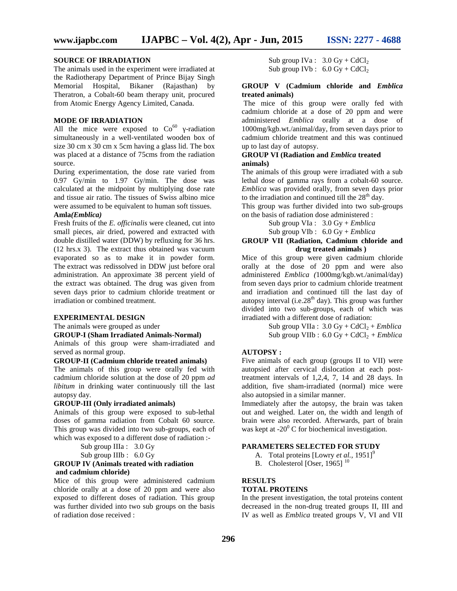#### **SOURCE OF IRRADIATION**

The animals used in the experiment were irradiated at the Radiotherapy Department of Prince Bijay Singh Memorial Hospital, Bikaner (Rajasthan) by Theratron, a Cobalt-60 beam therapy unit, procured from Atomic Energy Agency Limited, Canada.

# **MODE OF IRRADIATION**

All the mice were exposed to  $Co<sup>60</sup>$  -radiation simultaneously in a well-ventilated wooden box of size 30 cm x 30 cm x 5cm having a glass lid. The box was placed at a distance of 75cms from the radiation source.

During experimentation, the dose rate varied from 0.97 Gy/min to 1.97 Gy/min. The dose was calculated at the midpoint by multiplying dose rate and tissue air ratio. The tissues of Swiss albino mice were assumed to be equivalent to human soft tissues.

#### **Amla***(Emblica)*

Fresh fruits of the *E. officinalis* were cleaned, cut into small pieces, air dried, powered and extracted with double distilled water (DDW) by refluxing for 36 hrs. (12 hrs.x 3). The extract thus obtained was vacuum evaporated so as to make it in powder form. The extract was redissolved in DDW just before oral administration. An approximate 38 percent yield of the extract was obtained. The drug was given from seven days prior to cadmium chloride treatment or irradiation or combined treatment.

#### **EXPERIMENTAL DESIGN**

# The animals were grouped as under

# **GROUP-I (Sham Irradiated Animals-Normal)**

Animals of this group were sham-irradiated and served as normal group.

**GROUP-II (Cadmium chloride treated animals)**

The animals of this group were orally fed with cadmium chloride solution at the dose of 20 ppm *ad libitum* in drinking water continuously till the last autopsy day.

#### **GROUP-III (Only irradiated animals)**

Animals of this group were exposed to sub-lethal doses of gamma radiation from Cobalt 60 source. This group was divided into two sub-groups, each of which was exposed to a different dose of radiation :-

Sub group IIIa : 3.0 Gy

Sub group IIIb : 6.0 Gy

#### **GROUP IV (Animals treated with radiation and cadmium chloride)**

Mice of this group were administered cadmium chloride orally at a dose of 20 ppm and were also exposed to different doses of radiation. This group was further divided into two sub groups on the basis of radiation dose received :

Sub group IVa :  $3.0 \text{ Gy} + \text{CdCl}_2$ Sub group IVb :  $6.0 \text{ Gy} + \text{CdCl}_2$ 

# **GROUP V (Cadmium chloride and** *Emblica* **treated animals)**

The mice of this group were orally fed with cadmium chloride at a dose of 20 ppm and were administered *Emblica* orally at a dose of 1000mg/kgb.wt./animal/day, from seven days prior to cadmium chloride treatment and this was continued up to last day of autopsy.

# **GROUP VI (Radiation and** *Emblica* **treated animals)**

The animals of this group were irradiated with a sub lethal dose of gamma rays from a cobalt-60 source. *Emblica* was provided orally, from seven days prior to the irradiation and continued till the  $28<sup>th</sup>$  day. This group was further divided into two sub-groups

on the basis of radiation dose administered :

Sub group VIa : 3.0 Gy + *Emblica* Sub group VIb : 6.0 Gy + *Emblica*

# **GROUP VII (Radiation, Cadmium chloride and drug treated animals )**

Mice of this group were given cadmium chloride orally at the dose of 20 ppm and were also administered *Emblica (*1000mg/kgb.wt./animal/day) from seven days prior to cadmium chloride treatment and irradiation and continued till the last day of autopsy interval (i.e.28<sup>th</sup> day). This group was further divided into two sub-groups, each of which was irradiated with a different dose of radiation:

> Sub group VIIa :  $3.0 \text{ Gy} + \text{CdCl}_2 + \text{Emblica}$ Sub group VIIb :  $6.0 \text{ Gy} + \text{CdCl}_2 + \text{Emblica}$

## **AUTOPSY :**

Five animals of each group (groups II to VII) were autopsied after cervical dislocation at each posttreatment intervals of 1,2,4, 7, 14 and 28 days. In addition, five sham-irradiated (normal) mice were also autopsied in a similar manner.

Immediately after the autopsy, the brain was taken out and weighed. Later on, the width and length of brain were also recorded. Afterwards, part of brain was kept at  $-20^{\circ}$  C for biochemical investigation.

#### **PARAMETERS SELECTED FOR STUDY**

- A. Total proteins [Lowry *et al.*, 1951]<sup>9</sup>
- B. Cholesterol [Oser, 1965]  $^{10}$

# **RESULTS**

#### **TOTAL PROTEINS**

In the present investigation, the total proteins content decreased in the non-drug treated groups II, III and IV as well as *Emblica* treated groups V, VI and VII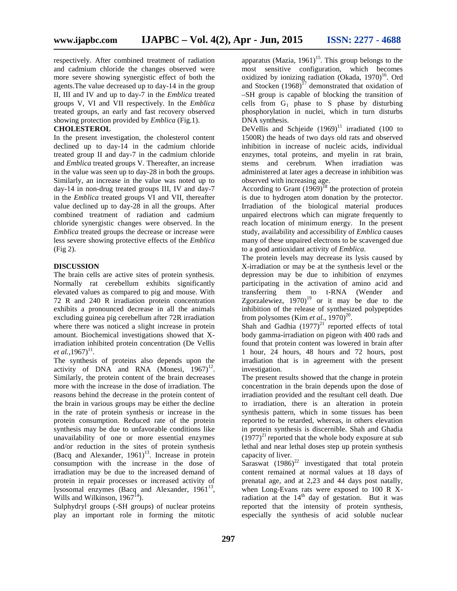respectively. After combined treatment of radiation and cadmium chloride the changes observed were more severe showing synergistic effect of both the agents.The value decreased up to day-14 in the group II, III and IV and up to day-7 in the *Emblica* treated groups V, VI and VII respectively. In the *Emblica* treated groups, an early and fast recovery observed showing protection provided by *Emblica* (Fig.1).

#### **CHOLESTEROL**

In the present investigation, the cholesterol content declined up to day-14 in the cadmium chloride treated group II and day-7 in the cadmium chloride and *Emblica* treated groups V. Thereafter, an increase in the value was seen up to day-28 in both the groups. Similarly, an increase in the value was noted up to day-14 in non-drug treated groups III, IV and day-7 in the *Emblica* treated groups VI and VII, thereafter value declined up to day-28 in all the groups. After combined treatment of radiation and cadmium chloride synergistic changes were observed. In the *Emblica* treated groups the decrease or increase were less severe showing protective effects of the *Emblica* (Fig 2).

## **DISCUSSION**

The brain cells are active sites of protein synthesis. Normally rat cerebellum exhibits significantly elevated values as compared to pig and mouse. With 72 R and 240 R irradiation protein concentration exhibits a pronounced decrease in all the animals excluding guinea pig cerebellum after 72R irradiation where there was noticed a slight increase in protein amount. Biochemical investigations showed that Xirradiation inhibited protein concentration (De Vellis *et al.*,  $1967)^{11}$ .

The synthesis of proteins also depends upon the activity of DNA and RNA  $(Monesi, 1967)^{12}$ . Similarly, the protein content of the brain decreases more with the increase in the dose of irradiation. The reasons behind the decrease in the protein content of the brain in various groups may be either the decline in the rate of protein synthesis or increase in the protein consumption. Reduced rate of the protein synthesis may be due to unfavorable conditions like unavailability of one or more essential enzymes and/or reduction in the sites of protein synthesis (Bacq and Alexander,  $1961$ )<sup>13</sup>. Increase in protein consumption with the increase in the dose of irradiation may be due to the increased demand of protein in repair processes or increased activity of lysosomal enzymes (Bacq and Alexander,  $1961^{13}$ , Wills and Wilkinson,  $1967<sup>14</sup>$ ).

Sulphydryl groups (-SH groups) of nuclear proteins play an important role in forming the mitotic

apparatus (Mazia, 1961)<sup>15</sup>. This group belongs to the most sensitive configuration, which becomes oxidized by ionizing radiation (Okada,  $1970$ )<sup>16</sup>. Ord and Stocken  $(1968)^{17}$  demonstrated that oxidation of –SH group is capable of blocking the transition of cells from  $G_1$  phase to S phase by disturbing phosphorylation in nuclei, which in turn disturbs DNA synthesis.

DeVellis and Schjeide  $(1969)^{11}$  irradiated (100 to 1500R) the heads of two days old rats and observed inhibition in increase of nucleic acids, individual enzymes, total proteins, and myelin in rat brain, stems and cerebrum. When irradiation was administered at later ages a decrease in inhibition was observed with increasing age.

According to Grant  $(1969)^{18}$  the protection of protein is due to hydrogen atom donation by the protector. Irradiation of the biological material produces unpaired electrons which can migrate frequently to reach location of minimum energy. In the present study, availability and accessibility of *Emblica* causes many of these unpaired electrons to be scavenged due to a good antioxidant activity of *Emblica*.

The protein levels may decrease its lysis caused by X-irradiation or may be at the synthesis level or the depression may be due to inhibition of enzymes participating in the activation of amino acid and transferring them to t-RNA (Wender and Zgorzalewiez,  $1970$ <sup>19</sup> or it may be due to the inhibition of the release of synthesized polypeptides from polysomes (Kim *et al.*, 1970)<sup>20</sup>.

Shah and Gadhia  $(1977)^{21}$  reported effects of total body gamma-irradiation on pigeon with 400 rads and found that protein content was lowered in brain after 1 hour, 24 hours, 48 hours and 72 hours, post irradiation that is in agreement with the present investigation.

The present results showed that the change in protein concentration in the brain depends upon the dose of irradiation provided and the resultant cell death. Due to irradiation, there is an alteration in protein synthesis pattern, which in some tissues has been reported to be retarded, whereas, in others elevation in protein synthesis is discernible. Shah and Ghadia  $(1977)^{21}$  reported that the whole body exposure at sub lethal and near lethal doses step up protein synthesis capacity of liver.

Saraswat  $(1986)^{22}$  investigated that total protein content remained at normal values at 18 days of prenatal age, and at 2,23 and 44 days post natally, when Long-Evans rats were exposed to 100 R Xradiation at the  $14<sup>th</sup>$  day of gestation. But it was reported that the intensity of protein synthesis, especially the synthesis of acid soluble nuclear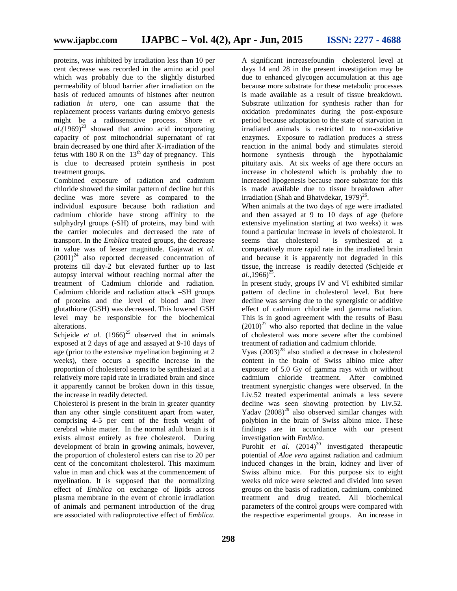proteins, was inhibited by irradiation less than 10 per cent decrease was recorded in the amino acid pool which was probably due to the slightly disturbed permeability of blood barrier after irradiation on the basis of reduced amounts of histones after neutron radiation *in utero,* one can assume that the replacement process variants during embryo genesis might be a radiosensitive process. Shore *et*  $aL(1969)^{23}$  showed that amino acid incorporating capacity of post mitochondrial supernatant of rat brain decreased by one third after X-irradiation of the fetus with 180 R on the  $13<sup>th</sup>$  day of pregnancy. This is clue to decreased protein synthesis in post treatment groups.

Combined exposure of radiation and cadmium chloride showed the similar pattern of decline but this decline was more severe as compared to the individual exposure because both radiation and cadmium chloride have strong affinity to the sulphydryl groups (-SH) of proteins, may bind with the carrier molecules and decreased the rate of transport. In the *Emblica* treated groups, the decrease in value was of lesser magnitude. Gajawat *et al.*  $(2001)^{24}$  also reported decreased concentration of proteins till day-2 but elevated further up to last autopsy interval without reaching normal after the treatment of Cadmium chloride and radiation. Cadmium chloride and radiation attack –SH groups of proteins and the level of blood and liver glutathione (GSH) was decreased. This lowered GSH level may be responsible for the biochemical alterations.

Schjeide *et al.*  $(1966)^{25}$  observed that in animals exposed at 2 days of age and assayed at 9-10 days of age (prior to the extensive myelination beginning at 2 weeks), there occurs a specific increase in the proportion of cholesterol seems to be synthesized at a relatively more rapid rate in irradiated brain and since it apparently cannot be broken down in this tissue, the increase in readily detected.

Cholesterol is present in the brain in greater quantity than any other single constituent apart from water, comprising 4-5 per cent of the fresh weight of cerebral white matter. In the normal adult brain is it exists almost entirely as free cholesterol. During development of brain in growing animals, however, the proportion of cholesterol esters can rise to 20 per cent of the concomitant cholesterol. This maximum value in man and chick was at the commencement of myelination. It is supposed that the normalizing effect of *Emblica* on exchange of lipids across plasma membrane in the event of chronic irradiation of animals and permanent introduction of the drug are associated with radioprotective effect of *Emblica*. A significant increasefoundin cholesterol level at days 14 and 28 in the present investigation may be due to enhanced glycogen accumulation at this age because more substrate for these metabolic processes is made available as a result of tissue breakdown. Substrate utilization for synthesis rather than for oxidation predominates during the post-exposure period because adaptation to the state of starvation in irradiated animals is restricted to non-oxidative enzymes. Exposure to radiation produces a stress reaction in the animal body and stimulates steroid hormone synthesis through the hypothalamic pituitary axis. At six weeks of age there occurs an increase in cholesterol which is probably due to increased lipogenesis because more substrate for this is made available due to tissue breakdown after irradiation (Shah and Bhatvdekar, 1979) $^{26}$ .

When animals at the two days of age were irradiated and then assayed at 9 to 10 days of age (before extensive myelination starting at two weeks) it was found a particular increase in levels of cholesterol. It seems that cholesterol is synthesized at a comparatively more rapid rate in the irradiated brain and because it is apparently not degraded in this tissue, the increase is readily detected (Schjeide *et* al.,1966)<sup>25</sup>.

In present study, groups IV and VI exhibited similar pattern of decline in cholesterol level. But here decline was serving due to the synergistic or additive effect of cadmium chloride and gamma radiation. This is in good agreement with the results of Basu  $(2010)^{27}$  who also reported that decline in the value of cholesterol was more severe after the combined treatment of radiation and cadmium chloride.

Vyas  $(2003)^{28}$  also studied a decrease in cholesterol content in the brain of Swiss albino mice after exposure of 5.0 Gy of gamma rays with or without cadmium chloride treatment. After combined treatment synergistic changes were observed. In the Liv.52 treated experimental animals a less severe decline was seen showing protection by Liv.52. Yadav  $(2008)^{29}$  also observed similar changes with polybion in the brain of Swiss albino mice. These findings are in accordance with our present investigation with *Emblica*.

Purohit *et al.*  $(2014)^{30}$  investigated therapeutic potential of *Aloe vera* against radiation and cadmium induced changes in the brain, kidney and liver of Swiss albino mice. For this purpose six to eight weeks old mice were selected and divided into seven groups on the basis of radiation, cadmium, combined treatment and drug treated. All biochemical parameters of the control groups were compared with the respective experimental groups. An increase in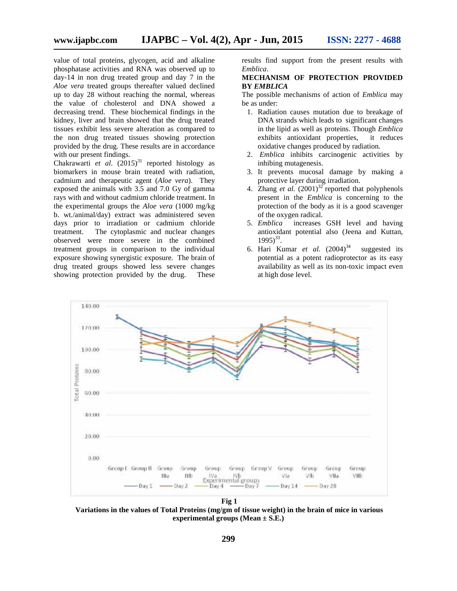value of total proteins, glycogen, acid and alkaline value of total proteins, glycogen, acid and alkaline<br>phosphatase activities and RNA was observed up to day-14 in non drug treated group and day 7 in the Aloe vera treated groups thereafter valued declined up to day 28 without reaching the normal, whereas the value of cholesterol and DNA showed a decreasing trend. These biochemical findings in the kidney, liver and brain showed that the drug treated tissues exhibit less severe alteration as compared to the non drug treated tissues showing protection provided by the drug. These results are in accordance with our present findings. up to day 28 without reaching the normal, whereas<br>the value of cholesterol and DNA showed a<br>decreasing trend. These biochemical findings in the<br>kidney, liver and brain showed that the drug treated<br>tissues exhibit less seve

Chakrawarti *et al.*  $(2015)^{31}$  reported histology as biomarkers in mouse brain treated with radiation, cadmium and therapeutic agent (*Aloe vera*). They exposed the animals with 3.5 and 7.0 Gy of gamma rays with and without cadmium chloride treatment. In the experimental groups the *Aloe vera* (1000 mg/kg) b. wt./animal/day) extract was administered seven days prior to irradiation or cadmium chloride treatment. The cytoplasmic and nuclear changes observed were more severe in the combined treatment groups in comparison to the individual exposure showing synergistic exposure. The brain of drug treated groups showed less severe changes showing protection provided by the drug. These Trawarti *et al.*  $(2015)^{31}$  reported histology as anteres in mouse brain treated with radiation, it immed the animals with 3.5 and 7.0 Gy of gamma with and without cadmium chloride treatment. In days prior to irradiation or cadmium chloride<br>treatment. The cytoplasmic and nuclear changes<br>observed were more severe in the combined<br>treatment groups in comparison to the individual<br>exposure showing synergistic exposure.

results find support from the present results with *Emblica*.

# **MECHANISM OF PROTECTION PROVIDED BY** *EMBLICA EMBLICA*

The possible mechanisms of action of *Emblica* may be as under:

- 1. Radiation causes mutation due to breakage of Radiation causes mutation due to breakage of<br>DNA strands which leads to significant changes in the lipid as well as proteins. Though *Emblica* exhibits antioxidant properties, it reduces exhibits oxidative changes produced by radiation.
- 2. *Emblica* inhibits carcinogenic activities by inhibing mutagenesis.
- 3. It prevents mucosal damage by making a damage protective layer during irradiation.
- 4. Zhang *et al.*  $(2001)^{32}$  reported that polyphenols present in the *Emblica* is concerning to the protection of the body as it is a good scavenger of the oxygen radical. *al.*  $(2001)^{32}$  reported<br> **1** the *Emblica* is c of the body as it is gen radical.
- 5. *Emblica* increases GSH level and having antioxidant potential also (Jeena and Kuttan, potential  $1995)^{33}$ .
- 6. Hari Kumar *et al.*  $(2004)^{34}$ potential as a potent radioprotector as its easy availability as well as its non-toxic impact even at high dose level. suggested its



**Variations in the values of Total Proteins (mg/gm of tissue weight) in the brain of mice in various (mg/gm of tissue brain of mice experimental groups (Mean ± S.E.)**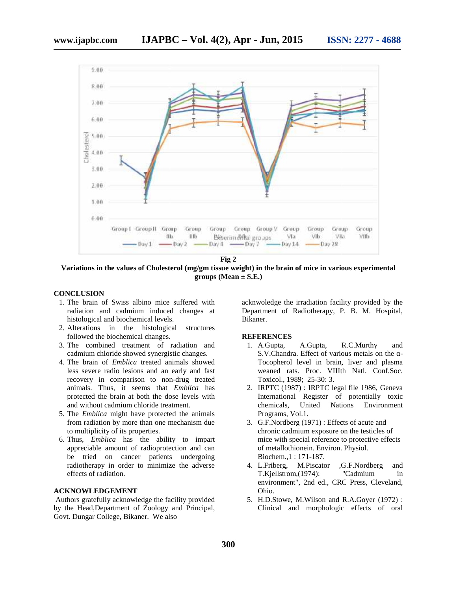

**Fig 2**

**Variations in the values of Cholesterol (mg/gm tissue weight) in the brain of mice in various experimental (mg/gm tissue of groups (Mean ± S.E.) S.E.)**

#### **CONCLUSION**

- 1. The brain of Swiss albino mice suffered with radiation and cadmium induced changes at histological and biochemical levels. brain of Swiss albino mice suffered with<br>tion and cadmium induced changes at<br>logical and biochemical levels.<br>ations in the histological structures<br>wed the biochemical changes.<br>combined treatment of radiation and<br>ium chlori
- 2. Alterations in the histological structures followed the biochemical changes.
- 3. The combined treatment of radiation and cadmium chloride showed synergistic changes.
- 4. The brain of *Emblica* treated animals showed less severe radio lesions and an early and fast recovery in comparison to non-drug treated animals. Thus, it seems that *Emblica* has protected the brain at both the dose levels with and without cadmium chloride treatment. ---- ---- -- --- -----The brain of Swiss albino mice surfered with the histological and biochemical levels.<br>
Alenations in the histological structures in the histological structures (Department of Radiotherapy, P. B. M. Hospital,<br>
Alistologica
- 5. The *Emblica* might have protected the animals from radiation by more than one mechanism due to multiplicity of its properties.
- 6. Thus, *Emblica* has the ability to impart appreciable amount of radioprotection and can be tried on cancer patients undergoing radiotherapy in order to minimize the adverse effects of radiation.

#### **ACKNOWLEDGEMENT**

Authors gratefully acknowledge the facility provided by the Head,Department of Zoology and Principal, Govt. Dungar College, Bikaner. We also

acknwoledge the irradiation facility provided by the Department of Radiotherapy, P. B. M. Hospital, Bikaner.

# **REFERENCES**

- 1. A.Gupta, A.Gupta, R.C.Murthy and S.V.Chandra. Effect of various metals on the -Tocopherol level in brain, liver and plasma weaned rats. Proc. VIIIth Natl. Conf.Soc. Toxicol., 1989; 25-30: 3. of radiation and 1. A.Gupta, A.Gupta, R.C.Murthy<br>
ergistic changes. S.V.Chandra. Effect of various metals on the registic changes. S.V.Chandra. Effect of various metals on the<br>
1 an early and fast we aneed rats. Proc. VIII
	- 2. IRPTC (1987) : IRPTC legal file 1986, Geneva International Register of potentially toxic chemicals, United Nations Environment Programs, Vol.1.
	- 3. G.F.Nordberg (1971) : Effects of acute and chronic cadmium exposure on the testicles of mice with special reference to protective effects of metallothionein. Environ. Physiol. Biochem.,1 : 171-187.
	- 4. L.Friberg, M.Piscator ,G.F.Nordberg and T.Kjellstrom,(1974): "Cadmium in environment", 2nd ed., CRC Press, Cleveland, Ohio. ,G.F.Nordberg
	- 5. H.D.Stowe, M.Wilson and R.A.Goyer (1972) : Clinical and morphologic effects of oral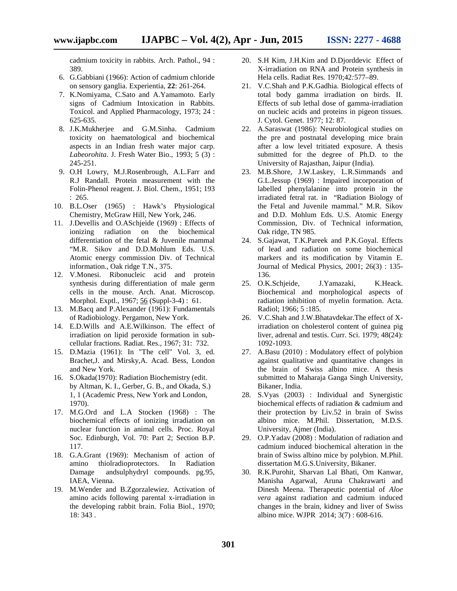cadmium toxicity in rabbits. Arch. Pathol., 94 : 389.

- 6. G.Gabbiani (1966): Action of cadmium chloride on sensory ganglia. Experientia, **22**: 261-264.
- 7. K.Nomiyama, C.Sato and A.Yamamoto. Early signs of Cadmium Intoxication in Rabbits. Toxicol. and Applied Pharmacology, 1973; 24 : 625-635.
- 8. J.K.Mukherjee and G.M.Sinha. Cadmium toxicity on haematological and biochemical aspects in an Indian fresh water major carp. *Labeorohita*. J. Fresh Water Bio., 1993; 5 (3) : 245-251.
- 9. O.H Lowry, M.J.Rosenbrough, A.L.Farr and R.J Randall. Protein measurement with the Folin-Phenol reagent. J. Biol. Chem., 1951; 193 : 265.
- 10. B.L.Oser (1965) : Hawk's Physiological Chemistry, McGraw Hill, New York, 246.
- 11. J.Devellis and O.ASchjeide (1969) : Effects of ionizing radiation on the biochemical differentiation of the fetal & Juvenile mammal "M.R. Sikov and D.D.Mohlum Eds. U.S. Atomic energy commission Div. of Technical information., Oak ridge T.N., 375.
- 12. V.Monesi. Ribonucleic acid and protein synthesis during differentiation of male germ cells in the mouse. Arch. Anat. Microscop. Morphol. Exptl., 1967; 56 (Suppl-3-4) : 61.
- 13. M.Bacq and P.Alexander (1961): Fundamentals of Radiobiology. Pergamon, New York.
- 14. E.D.Wills and A.E.Wilkinson. The effect of irradiation on lipid peroxide formation in sub cellular fractions. Radiat. Res., 1967; 31: 732.
- 15. D.Mazia (1961): In "The cell" Vol. 3, ed. Brachet,J. and Mirsky,A. Acad. Bess, London and New York.
- 16. S.Okada(1970): Radiation Biochemistry (edit. by Altman, K. I., Gerber, G. B., and Okada, S.) 1, 1 (Academic Press, New York and London, 1970).
- 17. M.G.Ord and L.A Stocken (1968) : The biochemical effects of ionizing irradiation on nuclear function in animal cells. Proc. Royal Soc. Edinburgh, Vol. 70: Part 2; Section B.P. 117.
- 18. G.A.Grant (1969): Mechanism of action of amino thiolradioprotectors. In Radiation Damage andsulphydryl compounds. pg.95, IAEA, Vienna.
- 19. M.Wender and B.Zgorzalewiez. Activation of amino acids following parental x-irradiation in the developing rabbit brain. Folia Biol., 1970; 18: 343 .
- 20. S.H Kim, J.H.Kim and D.Djorddevic Effect of X-irradiation on RNA and Protein synthesis in Hela cells. Radiat Res*.* 1970;42*:*577*–*89.
- 21. V.C.Shah and P.K.Gadhia. Biological effects of total body gamma irradiation on birds. II. Effects of sub lethal dose of gamma-irradiation on nucleic acids and proteins in pigeon tissues. J. Cytol. Genet. 1977; 12: 87.
- 22. A.Saraswat (1986): Neurobiological studies on the pre and postnatal developing mice brain after a low level tritiated exposure. A thesis submitted for the degree of Ph.D. to the University of Rajasthan, Jaipur (India).
- 23. M.B.Shore, J.W.Laskey, L.R.Simmands and G.L.Jessup (1969) : Impaired incorporation of labelled phenylalanine into protein in the irradiated fetral rat. in "Radiation Biology of the Fetal and Juvenile mammal." M.R. Sikov and D.D. Mohlum Eds. U.S. Atomic Energy Commission, Div. of Technical information, Oak ridge, TN 985.
- 24. S.Gajawat, T.K.Pareek and P.K.Goyal. Effects of lead and radiation on some biochemical markers and its modification by Vitamin E. Journal of Medical Physics, 2001; 26(3) : 135- 136.
- 25. O.K.Schjeide, J.Yamazaki, K.Heack. Biochemical and morphological aspects of radiation inhibition of myelin formation. Acta. Radiol; 1966; 5 :185.
- 26. V.C.Shah and J.W.Bhatavdekar.The effect of Xirradiation on cholesterol content of guinea pig liver, adrenal and testis. Curr. Sci. 1979; 48(24): 1092-1093.
- 27. A.Basu (2010) : Modulatory effect of polybion against qualitative and quantitative changes in the brain of Swiss albino mice. A thesis submitted to Maharaja Ganga Singh University, Bikaner, India.
- 28. S.Vyas (2003) : Individual and Synergistic biochemical effects of radiation & cadmium and their protection by Liv.52 in brain of Swiss albino mice. M.Phil. Dissertation, M.D.S. University, Ajmer (India).
- 29. O.P.Yadav (2008) : Modulation of radiation and cadmium induced biochemical alteration in the brain of Swiss albino mice by polybion. M.Phil. dissertation M.G.S.University, Bikaner.
- 30. R.K.Purohit, Sharvan Lal Bhati, Om Kanwar, Manisha Agarwal, Aruna Chakrawarti and Dinesh Meena. Therapeutic potential of *Aloe vera* against radiation and cadmium induced changes in the brain, kidney and liver of Swiss albino mice. WJPR 2014; 3(7) : 608-616.